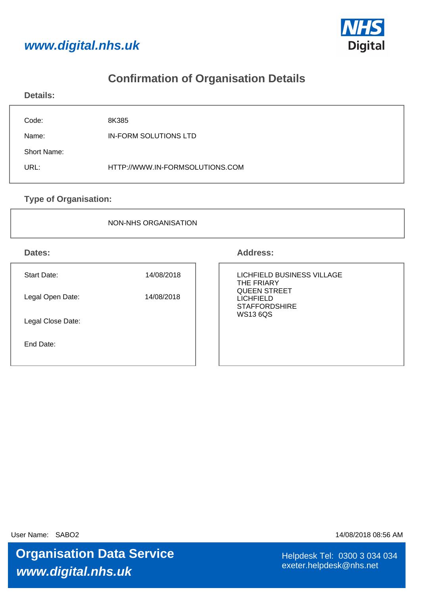



## **Confirmation of Organisation Details**

| <b>Details:</b> |                                 |
|-----------------|---------------------------------|
| Code:           | 8K385                           |
| Name:           | <b>IN-FORM SOLUTIONS LTD</b>    |
| Short Name:     |                                 |
| URL:            | HTTP://WWW.IN-FORMSOLUTIONS.COM |
|                 |                                 |

**Type of Organisation:**

NON-NHS ORGANISATION

**Dates: Address:**

| Start Date:       | 14/08/2018 |
|-------------------|------------|
| Legal Open Date:  | 14/08/2018 |
| Legal Close Date: |            |
| End Date:         |            |

#### LICHFIELD BUSINESS VILLAGE THE FRIARY QUEEN STREET LICHFIELD **STAFFORDSHIRE** WS13 6QS

User Name: SABO2 14/08/2018 08:56 AM

**www.digital.nhs.uk Organisation Data Service Helpdesk Tel: 0300 3 034 034** 

exeter.helpdesk@nhs.net